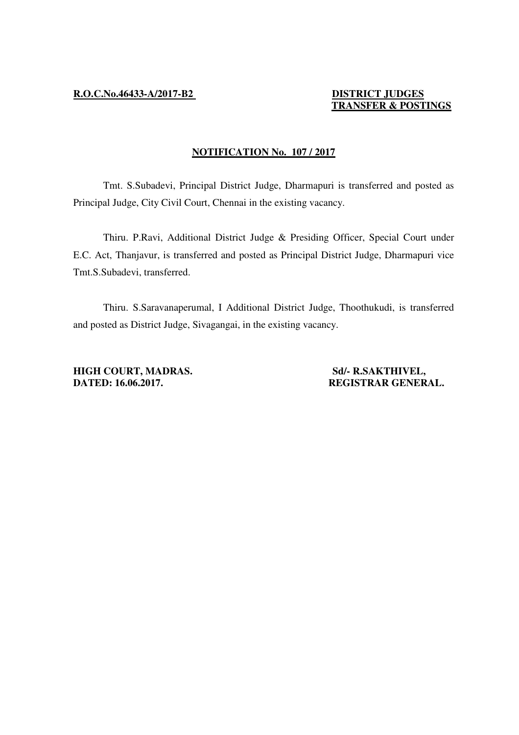## **TRANSFER & POSTINGS**

## **NOTIFICATION No. 107 / 2017**

 Tmt. S.Subadevi, Principal District Judge, Dharmapuri is transferred and posted as Principal Judge, City Civil Court, Chennai in the existing vacancy.

 Thiru. P.Ravi, Additional District Judge & Presiding Officer, Special Court under E.C. Act, Thanjavur, is transferred and posted as Principal District Judge, Dharmapuri vice Tmt.S.Subadevi, transferred.

 Thiru. S.Saravanaperumal, I Additional District Judge, Thoothukudi, is transferred and posted as District Judge, Sivagangai, in the existing vacancy.

**HIGH COURT, MADRAS.** Sd/- R.SAKTHIVEL, **DATED: 16.06.2017. REGISTRAR GENERAL.**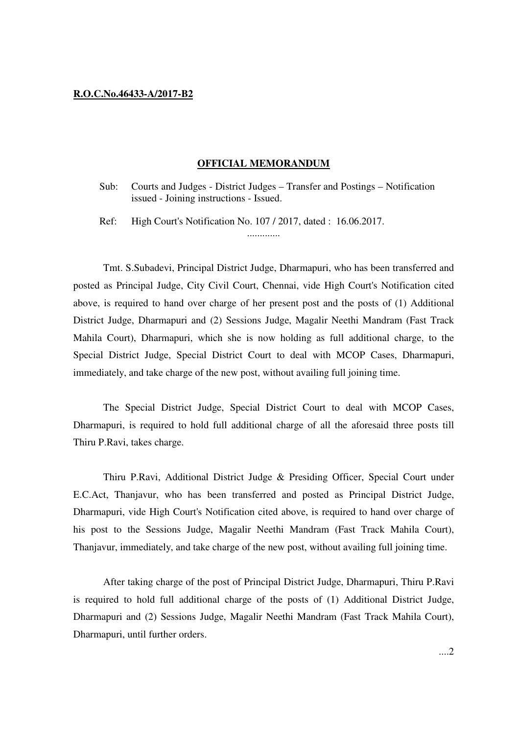## **R.O.C.No.46433-A/2017-B2**

## **OFFICIAL MEMORANDUM**

Sub: Courts and Judges - District Judges – Transfer and Postings – Notification issued - Joining instructions - Issued.

Ref: High Court's Notification No. 107 / 2017, dated : 16.06.2017. .............

 Tmt. S.Subadevi, Principal District Judge, Dharmapuri, who has been transferred and posted as Principal Judge, City Civil Court, Chennai, vide High Court's Notification cited above, is required to hand over charge of her present post and the posts of (1) Additional District Judge, Dharmapuri and (2) Sessions Judge, Magalir Neethi Mandram (Fast Track Mahila Court), Dharmapuri, which she is now holding as full additional charge, to the Special District Judge, Special District Court to deal with MCOP Cases, Dharmapuri, immediately, and take charge of the new post, without availing full joining time.

 The Special District Judge, Special District Court to deal with MCOP Cases, Dharmapuri, is required to hold full additional charge of all the aforesaid three posts till Thiru P.Ravi, takes charge.

 Thiru P.Ravi, Additional District Judge & Presiding Officer, Special Court under E.C.Act, Thanjavur, who has been transferred and posted as Principal District Judge, Dharmapuri, vide High Court's Notification cited above, is required to hand over charge of his post to the Sessions Judge, Magalir Neethi Mandram (Fast Track Mahila Court), Thanjavur, immediately, and take charge of the new post, without availing full joining time.

 After taking charge of the post of Principal District Judge, Dharmapuri, Thiru P.Ravi is required to hold full additional charge of the posts of (1) Additional District Judge, Dharmapuri and (2) Sessions Judge, Magalir Neethi Mandram (Fast Track Mahila Court), Dharmapuri, until further orders.